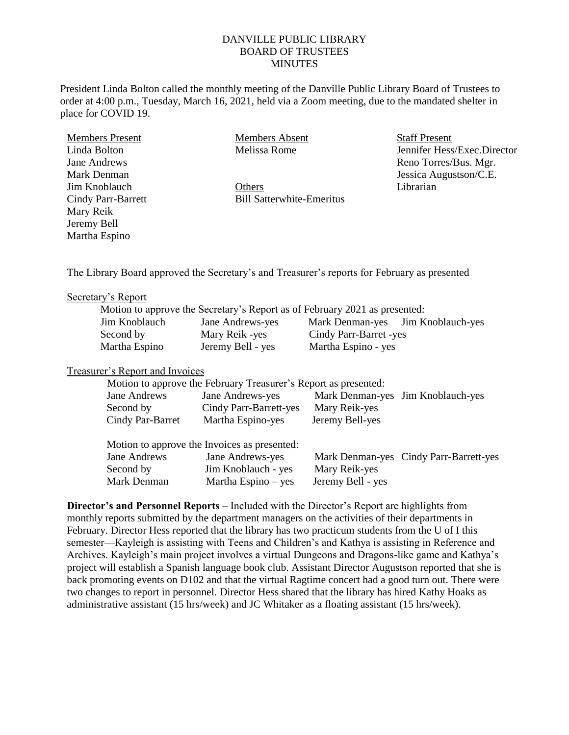## DANVILLE PUBLIC LIBRARY BOARD OF TRUSTEES **MINUTES**

President Linda Bolton called the monthly meeting of the Danville Public Library Board of Trustees to order at 4:00 p.m., Tuesday, March 16, 2021, held via a Zoom meeting, due to the mandated shelter in place for COVID 19.

Members Present Linda Bolton Jane Andrews Mark Denman Jim Knoblauch Cindy Parr-Barrett Mary Reik Jeremy Bell Martha Espino

Members Absent Melissa Rome

**Others** Bill Satterwhite-Emeritus Staff Present Jennifer Hess/Exec.Director Reno Torres/Bus. Mgr. Jessica Augustson/C.E. Librarian

The Library Board approved the Secretary's and Treasurer's reports for February as presented

## Secretary's Report

|               |                   | Motion to approve the Secretary's Report as of February 2021 as presented: |  |
|---------------|-------------------|----------------------------------------------------------------------------|--|
| Jim Knoblauch | Jane Andrews-yes  | Mark Denman-yes Jim Knoblauch-yes                                          |  |
| Second by     | Mary Reik -yes    | Cindy Parr-Barret -yes                                                     |  |
| Martha Espino | Jeremy Bell - yes | Martha Espino - yes                                                        |  |

#### Treasurer's Report and Invoices

| Motion to approve the February Treasurer's Report as presented: |                        |                   |                                        |  |  |
|-----------------------------------------------------------------|------------------------|-------------------|----------------------------------------|--|--|
| Jane Andrews                                                    | Jane Andrews-yes       |                   | Mark Denman-yes Jim Knoblauch-yes      |  |  |
| Second by                                                       | Cindy Parr-Barrett-yes | Mary Reik-yes     |                                        |  |  |
| Cindy Par-Barret                                                | Martha Espino-yes      | Jeremy Bell-yes   |                                        |  |  |
| Motion to approve the Invoices as presented:                    |                        |                   |                                        |  |  |
| Jane Andrews                                                    | Jane Andrews-yes       |                   | Mark Denman-yes Cindy Parr-Barrett-yes |  |  |
| Second by                                                       | Jim Knoblauch - yes    | Mary Reik-yes     |                                        |  |  |
| Mark Denman                                                     | Martha Espino – yes    | Jeremy Bell - yes |                                        |  |  |

**Director's and Personnel Reports** – Included with the Director's Report are highlights from monthly reports submitted by the department managers on the activities of their departments in February. Director Hess reported that the library has two practicum students from the U of I this semester—Kayleigh is assisting with Teens and Children's and Kathya is assisting in Reference and Archives. Kayleigh's main project involves a virtual Dungeons and Dragons-like game and Kathya's project will establish a Spanish language book club. Assistant Director Augustson reported that she is back promoting events on D102 and that the virtual Ragtime concert had a good turn out. There were two changes to report in personnel. Director Hess shared that the library has hired Kathy Hoaks as administrative assistant (15 hrs/week) and JC Whitaker as a floating assistant (15 hrs/week).